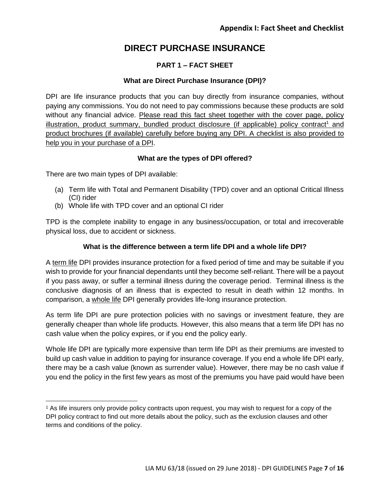# **PART 1 – FACT SHEET**

## **What are Direct Purchase Insurance (DPI)?**

DPI are life insurance products that you can buy directly from insurance companies, without paying any commissions. You do not need to pay commissions because these products are sold without any financial advice. Please read this fact sheet together with the cover page, policy illustration, product summary, bundled product disclosure (if applicable) policy contract<sup>1</sup> and product brochures (if available) carefully before buying any DPI. A checklist is also provided to help you in your purchase of a DPI.

### **What are the types of DPI offered?**

There are two main types of DPI available:

- (a) Term life with Total and Permanent Disability (TPD) cover and an optional Critical Illness (CI) rider
- (b) Whole life with TPD cover and an optional CI rider

TPD is the complete inability to engage in any business/occupation, or total and irrecoverable physical loss, due to accident or sickness.

### **What is the difference between a term life DPI and a whole life DPI?**

A term life DPI provides insurance protection for a fixed period of time and may be suitable if you wish to provide for your financial dependants until they become self-reliant. There will be a payout if you pass away, or suffer a terminal illness during the coverage period. Terminal illness is the conclusive diagnosis of an illness that is expected to result in death within 12 months. In comparison, a whole life DPI generally provides life-long insurance protection.

As term life DPI are pure protection policies with no savings or investment feature, they are generally cheaper than whole life products. However, this also means that a term life DPI has no cash value when the policy expires, or if you end the policy early.

Whole life DPI are typically more expensive than term life DPI as their premiums are invested to build up cash value in addition to paying for insurance coverage. If you end a whole life DPI early, there may be a cash value (known as surrender value). However, there may be no cash value if you end the policy in the first few years as most of the premiums you have paid would have been

<sup>1</sup> As life insurers only provide policy contracts upon request, you may wish to request for a copy of the DPI policy contract to find out more details about the policy, such as the exclusion clauses and other terms and conditions of the policy.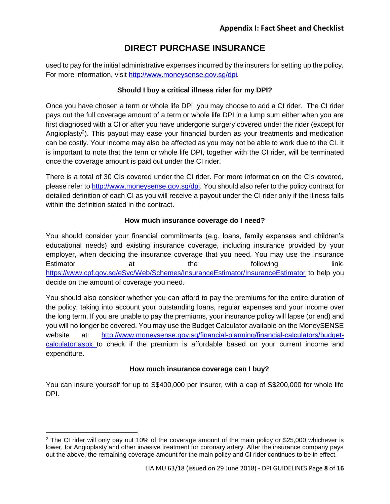used to pay for the initial administrative expenses incurred by the insurers for setting up the policy. For more information, visit http://www.moneysense.gov.sg/dpi*.*

## **Should I buy a critical illness rider for my DPI?**

Once you have chosen a term or whole life DPI, you may choose to add a CI rider. The CI rider pays out the full coverage amount of a term or whole life DPI in a lump sum either when you are first diagnosed with a CI or after you have undergone surgery covered under the rider (except for Angioplasty<sup>2</sup>). This payout may ease your financial burden as your treatments and medication can be costly. Your income may also be affected as you may not be able to work due to the CI. It is important to note that the term or whole life DPI, together with the CI rider, will be terminated once the coverage amount is paid out under the CI rider.

There is a total of 30 CIs covered under the CI rider. For more information on the CIs covered, please refer to http://www.moneysense.gov.sg/dpi. You should also refer to the policy contract for detailed definition of each CI as you will receive a payout under the CI rider only if the illness falls within the definition stated in the contract.

### **How much insurance coverage do I need?**

You should consider your financial commitments (e.g. loans, family expenses and children's educational needs) and existing insurance coverage, including insurance provided by your employer, when deciding the insurance coverage that you need. You may use the Insurance Estimator at at the following link: <https://www.cpf.gov.sg/eSvc/Web/Schemes/InsuranceEstimator/InsuranceEstimator> to help you decide on the amount of coverage you need.

You should also consider whether you can afford to pay the premiums for the entire duration of the policy, taking into account your outstanding loans, regular expenses and your income over the long term. If you are unable to pay the premiums, your insurance policy will lapse (or end) and you will no longer be covered. You may use the Budget Calculator available on the MoneySENSE website at: [http://www.moneysense.gov.sg/financial-planning/financial-calculators/budget](http://www.moneysense.gov.sg/financial-planning/financial-calculators/budget-calculator.aspx)[calculator.aspx](http://www.moneysense.gov.sg/financial-planning/financial-calculators/budget-calculator.aspx) to check if the premium is affordable based on your current income and expenditure.

## **How much insurance coverage can I buy?**

You can insure yourself for up to S\$400,000 per insurer, with a cap of S\$200,000 for whole life DPI.

 $\overline{\phantom{a}}$ 

<sup>&</sup>lt;sup>2</sup> The CI rider will only pay out 10% of the coverage amount of the main policy or \$25,000 whichever is lower, for Angioplasty and other invasive treatment for coronary artery. After the insurance company pays out the above, the remaining coverage amount for the main policy and CI rider continues to be in effect.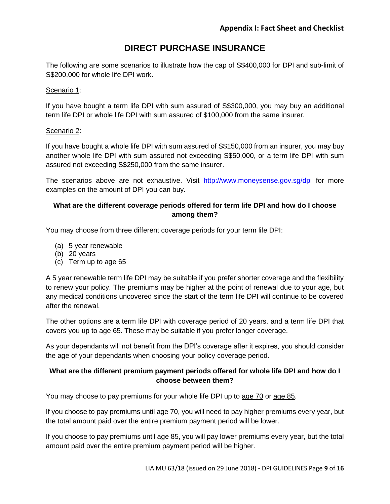The following are some scenarios to illustrate how the cap of S\$400,000 for DPI and sub-limit of S\$200,000 for whole life DPI work.

#### Scenario 1:

If you have bought a term life DPI with sum assured of S\$300,000, you may buy an additional term life DPI or whole life DPI with sum assured of \$100,000 from the same insurer.

### Scenario 2:

If you have bought a whole life DPI with sum assured of S\$150,000 from an insurer, you may buy another whole life DPI with sum assured not exceeding S\$50,000, or a term life DPI with sum assured not exceeding S\$250,000 from the same insurer.

The scenarios above are not exhaustive. Visit http://www.moneysense.gov.sg/dpi for more examples on the amount of DPI you can buy.

## **What are the different coverage periods offered for term life DPI and how do I choose among them?**

You may choose from three different coverage periods for your term life DPI:

- (a) 5 year renewable
- (b) 20 years
- (c) Term up to age 65

A 5 year renewable term life DPI may be suitable if you prefer shorter coverage and the flexibility to renew your policy. The premiums may be higher at the point of renewal due to your age, but any medical conditions uncovered since the start of the term life DPI will continue to be covered after the renewal.

The other options are a term life DPI with coverage period of 20 years, and a term life DPI that covers you up to age 65. These may be suitable if you prefer longer coverage.

As your dependants will not benefit from the DPI's coverage after it expires, you should consider the age of your dependants when choosing your policy coverage period.

## **What are the different premium payment periods offered for whole life DPI and how do I choose between them?**

You may choose to pay premiums for your whole life DPI up to age 70 or age 85.

If you choose to pay premiums until age 70, you will need to pay higher premiums every year, but the total amount paid over the entire premium payment period will be lower.

If you choose to pay premiums until age 85, you will pay lower premiums every year, but the total amount paid over the entire premium payment period will be higher.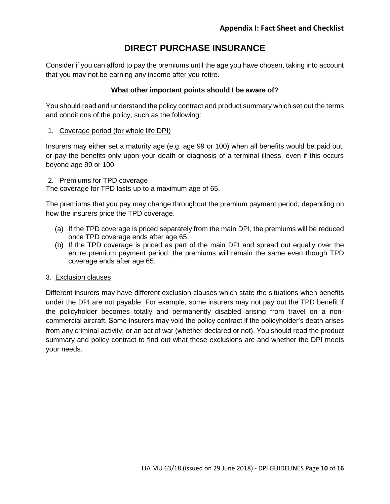Consider if you can afford to pay the premiums until the age you have chosen, taking into account that you may not be earning any income after you retire.

### **What other important points should I be aware of?**

You should read and understand the policy contract and product summary which set out the terms and conditions of the policy, such as the following:

### 1. Coverage period (for whole life DPI)

Insurers may either set a maturity age (e.g. age 99 or 100) when all benefits would be paid out, or pay the benefits only upon your death or diagnosis of a terminal illness, even if this occurs beyond age 99 or 100.

#### 2. Premiums for TPD coverage

The coverage for TPD lasts up to a maximum age of 65.

The premiums that you pay may change throughout the premium payment period, depending on how the insurers price the TPD coverage.

- (a) If the TPD coverage is priced separately from the main DPI, the premiums will be reduced once TPD coverage ends after age 65.
- (b) If the TPD coverage is priced as part of the main DPI and spread out equally over the entire premium payment period, the premiums will remain the same even though TPD coverage ends after age 65.

#### 3. Exclusion clauses

Different insurers may have different exclusion clauses which state the situations when benefits under the DPI are not payable. For example, some insurers may not pay out the TPD benefit if the policyholder becomes totally and permanently disabled arising from travel on a noncommercial aircraft. Some insurers may void the policy contract if the policyholder's death arises from any criminal activity; or an act of war (whether declared or not). You should read the product summary and policy contract to find out what these exclusions are and whether the DPI meets your needs.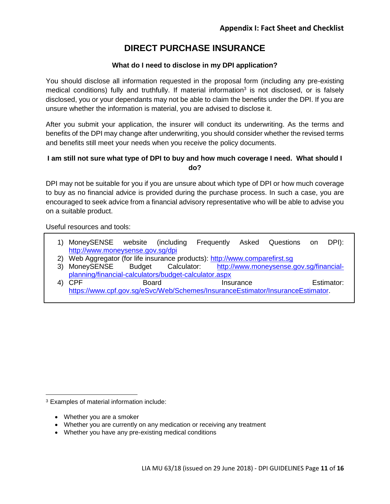### **What do I need to disclose in my DPI application?**

You should disclose all information requested in the proposal form (including any pre-existing medical conditions) fully and truthfully. If material information<sup>3</sup> is not disclosed, or is falsely disclosed, you or your dependants may not be able to claim the benefits under the DPI. If you are unsure whether the information is material, you are advised to disclose it.

After you submit your application, the insurer will conduct its underwriting. As the terms and benefits of the DPI may change after underwriting, you should consider whether the revised terms and benefits still meet your needs when you receive the policy documents.

### **I am still not sure what type of DPI to buy and how much coverage I need. What should I do?**

DPI may not be suitable for you if you are unsure about which type of DPI or how much coverage to buy as no financial advice is provided during the purchase process. In such a case, you are encouraged to seek advice from a financial advisory representative who will be able to advise you on a suitable product.

Useful resources and tools:

- 1) MoneySENSE website (including Frequently Asked Questions on DPI): http://www.moneysense.gov.sg/dpi
- 2) Web Aggregator (for life insurance products): http://www.comparefirst.sg
- 3) MoneySENSE Budget Calculator: [http://www.moneysense.gov.sg/financial](http://www.moneysense.gov.sg/financial-planning/financial-calculators/budget-calculator.aspx)[planning/financial-calculators/budget-calculator.aspx](http://www.moneysense.gov.sg/financial-planning/financial-calculators/budget-calculator.aspx)
- 4) CPF Board Board Insurance Estimator: [https://www.cpf.gov.sg/eSvc/Web/Schemes/InsuranceEstimator/InsuranceEstimator.](https://www.cpf.gov.sg/eSvc/Web/Schemes/InsuranceEstimator/InsuranceEstimator)

<sup>3</sup> Examples of material information include:

Whether you are a smoker

 $\overline{\phantom{a}}$ 

- Whether you are currently on any medication or receiving any treatment
- Whether you have any pre-existing medical conditions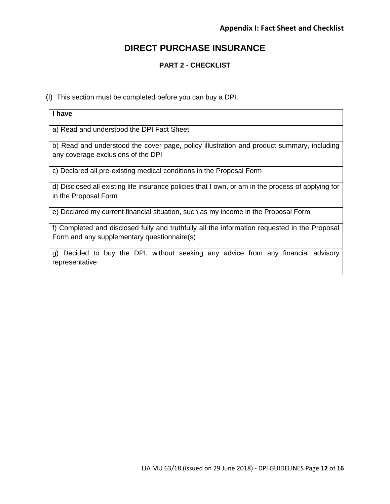## **PART 2 - CHECKLIST**

(i) This section must be completed before you can buy a DPI.

| I have                                                                                                                                       |  |
|----------------------------------------------------------------------------------------------------------------------------------------------|--|
| a) Read and understood the DPI Fact Sheet                                                                                                    |  |
| b) Read and understood the cover page, policy illustration and product summary, including<br>any coverage exclusions of the DPI              |  |
| c) Declared all pre-existing medical conditions in the Proposal Form                                                                         |  |
| d) Disclosed all existing life insurance policies that I own, or am in the process of applying for<br>in the Proposal Form                   |  |
| e) Declared my current financial situation, such as my income in the Proposal Form                                                           |  |
| f) Completed and disclosed fully and truthfully all the information requested in the Proposal<br>Form and any supplementary questionnaire(s) |  |
| g) Decided to buy the DPI, without seeking any advice from any financial advisory                                                            |  |
| representative                                                                                                                               |  |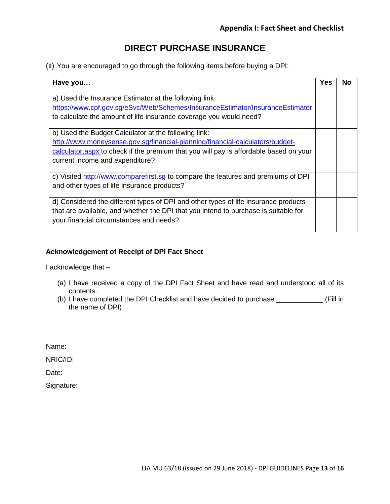(ii) You are encouraged to go through the following items before buying a DPI:

| Have you                                                                                                                                                                                                                       | <b>Yes</b> | Nο |
|--------------------------------------------------------------------------------------------------------------------------------------------------------------------------------------------------------------------------------|------------|----|
| a) Used the Insurance Estimator at the following link:<br>https://www.cpf.gov.sg/eSvc/Web/Schemes/InsuranceEstimator/InsuranceEstimator                                                                                        |            |    |
| to calculate the amount of life insurance coverage you would need?                                                                                                                                                             |            |    |
| b) Used the Budget Calculator at the following link:<br>http://www.moneysense.gov.sg/financial-planning/financial-calculators/budget-<br>calculator aspx to check if the premium that you will pay is affordable based on your |            |    |
| current income and expenditure?                                                                                                                                                                                                |            |    |
| c) Visited http://www.comparefirst.sq to compare the features and premiums of DPI<br>and other types of life insurance products?                                                                                               |            |    |
| d) Considered the different types of DPI and other types of life insurance products<br>that are available, and whether the DPI that you intend to purchase is suitable for<br>your financial circumstances and needs?          |            |    |

## **Acknowledgement of Receipt of DPI Fact Sheet**

I acknowledge that –

- (a) I have received a copy of the DPI Fact Sheet and have read and understood all of its contents.
- (b) I have completed the DPI Checklist and have decided to purchase \_\_\_\_\_\_\_\_\_\_\_\_ (Fill in the name of DPI)

Name:

NRIC/ID:

Date:

Signature: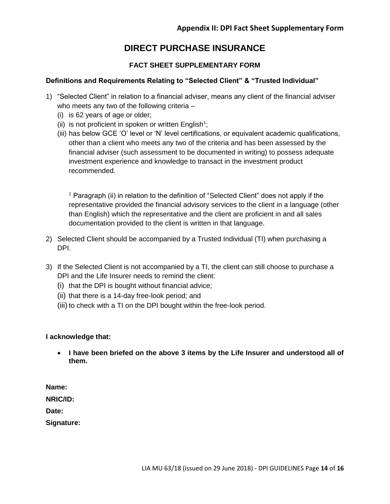## **FACT SHEET SUPPLEMENTARY FORM**

## **Definitions and Requirements Relating to "Selected Client" & "Trusted Individual"**

- 1) "Selected Client" in relation to a financial adviser, means any client of the financial adviser who meets any two of the following criteria –
	- (i) is 62 years of age or older;
	- (ii) is not proficient in spoken or written English<sup>1</sup>;
	- (iii) has below GCE 'O' level or 'N' level certifications, or equivalent academic qualifications, other than a client who meets any two of the criteria and has been assessed by the financial adviser (such assessment to be documented in writing) to possess adequate investment experience and knowledge to transact in the investment product recommended.

<sup>1</sup> Paragraph (ii) in relation to the definition of "Selected Client" does not apply if the representative provided the financial advisory services to the client in a language (other than English) which the representative and the client are proficient in and all sales documentation provided to the client is written in that language.

- 2) Selected Client should be accompanied by a Trusted Individual (TI) when purchasing a DPI.
- 3) If the Selected Client is not accompanied by a TI, the client can still choose to purchase a DPI and the Life Insurer needs to remind the client:
	- (i) that the DPI is bought without financial advice;
	- (ii) that there is a 14-day free-look period; and
	- (iii) to check with a TI on the DPI bought within the free-look period.

## **I acknowledge that:**

 **I have been briefed on the above 3 items by the Life Insurer and understood all of them.** 

**Name:**

**NRIC/ID:**

**Date:**

**Signature:**